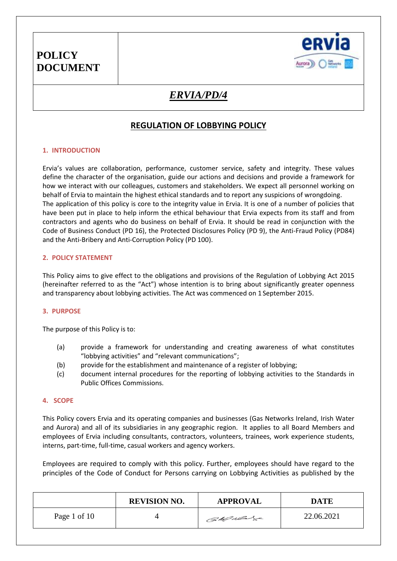

# *ERVIA/PD/4*

## **REGULATION OF LOBBYING POLICY**

### **1. INTRODUCTION**

Ervia's values are collaboration, performance, customer service, safety and integrity. These values define the character of the organisation, guide our actions and decisions and provide a framework for how we interact with our colleagues, customers and stakeholders. We expect all personnel working on behalf of Ervia to maintain the highest ethical standards and to report any suspicions of wrongdoing. The application of this policy is core to the integrity value in Ervia. It is one of a number of policies that have been put in place to help inform the ethical behaviour that Ervia expects from its staff and from contractors and agents who do business on behalf of Ervia. It should be read in conjunction with the Code of Business Conduct (PD 16), the Protected Disclosures Policy (PD 9), the Anti-Fraud Policy (PD84) and the Anti-Bribery and Anti-Corruption Policy (PD 100).

### **2. POLICY STATEMENT**

This Policy aims to give effect to the obligations and provisions of the Regulation of Lobbying Act 2015 (hereinafter referred to as the "Act") whose intention is to bring about significantly greater openness and transparency about lobbying activities. The Act was commenced on 1 September 2015.

### **3. PURPOSE**

The purpose of this Policy is to:

- (a) provide a framework for understanding and creating awareness of what constitutes "lobbying activities" and "relevant communications";
- (b) provide for the establishment and maintenance of a register of lobbying;
- (c) document internal procedures for the reporting of lobbying activities to the Standards in Public Offices Commissions.

### **4. SCOPE**

This Policy covers Ervia and its operating companies and businesses (Gas Networks Ireland, Irish Water and Aurora) and all of its subsidiaries in any geographic region. It applies to all Board Members and employees of Ervia including consultants, contractors, volunteers, trainees, work experience students, interns, part-time, full-time, casual workers and agency workers.

Employees are required to comply with this policy. Further, employees should have regard to the principles of the Code of Conduct for Persons carrying on Lobbying Activities as published by the

|              | <b>REVISION NO.</b> | <b>APPROVAL</b> | <b>DATE</b> |
|--------------|---------------------|-----------------|-------------|
| Page 1 of 10 |                     | CaMulage        | 22.06.2021  |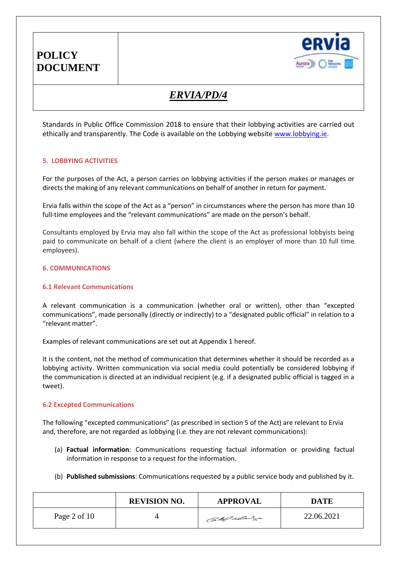

# *ERVIA/PD/4*

Standards in Public Office Commission 2018 to ensure that their lobbying activities are carried out ethically and transparently. The Code is available on the Lobbying website [www.lobbying.ie.](http://www.lobbying.ie/)

## **5. LOBBYING ACTIVITIES**

For the purposes of the Act, a person carries on lobbying activities if the person makes or manages or directs the making of any relevant communications on behalf of another in return for payment.

Ervia falls within the scope of the Act as a "person" in circumstances where the person has more than 10 full-time employees and the "relevant communications" are made on the person's behalf.

Consultants employed by Ervia may also fall within the scope of the Act as professional lobbyists being paid to communicate on behalf of a client (where the client is an employer of more than 10 full time employees).

## **6. COMMUNICATIONS**

### **6.1 Relevant Communications**

A relevant communication is a communication (whether oral or written), other than "excepted communications", made personally (directly or indirectly) to a "designated public official" in relation to a "relevant matter".

Examples of relevant communications are set out at Appendix 1 hereof.

It is the content, not the method of communication that determines whether it should be recorded as a lobbying activity. Written communication via social media could potentially be considered lobbying if the communication is directed at an individual recipient (e.g. if a designated public official is tagged in a tweet).

### **6.2 Excepted Communications**

The following "excepted communications" (as prescribed in section 5 of the Act) are relevant to Ervia and, therefore, are not regarded as lobbying (i.e. they are not relevant communications):

- (a) **Factual information**: Communications requesting factual information or providing factual information in response to a request for the information.
- (b) **Published submissions**: Communications requested by a public service body and published by it.

|              | <b>REVISION NO.</b> | <b>APPROVAL</b> | <b>DATE</b> |
|--------------|---------------------|-----------------|-------------|
| Page 2 of 10 |                     | CaMulage        | 22.06.2021  |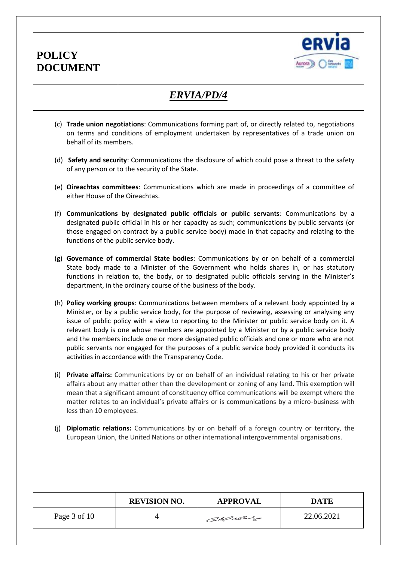

# *ERVIA/PD/4*

- (c) **Trade union negotiations**: Communications forming part of, or directly related to, negotiations on terms and conditions of employment undertaken by representatives of a trade union on behalf of its members.
- (d) **Safety and security**: Communications the disclosure of which could pose a threat to the safety of any person or to the security of the State.
- (e) **Oireachtas committees**: Communications which are made in proceedings of a committee of either House of the Oireachtas.
- (f) **Communications by designated public officials or public servants**: Communications by a designated public official in his or her capacity as such; communications by public servants (or those engaged on contract by a public service body) made in that capacity and relating to the functions of the public service body.
- (g) **Governance of commercial State bodies**: Communications by or on behalf of a commercial State body made to a Minister of the Government who holds shares in, or has statutory functions in relation to, the body, or to designated public officials serving in the Minister's department, in the ordinary course of the business of the body.
- (h) **Policy working groups**: Communications between members of a relevant body appointed by a Minister, or by a public service body, for the purpose of reviewing, assessing or analysing any issue of public policy with a view to reporting to the Minister or public service body on it. A relevant body is one whose members are appointed by a Minister or by a public service body and the members include one or more designated public officials and one or more who are not public servants nor engaged for the purposes of a public service body provided it conducts its activities in accordance with the Transparency Code.
- (i) **Private affairs:** Communications by or on behalf of an individual relating to his or her private affairs about any matter other than the development or zoning of any land. This exemption will mean that a significant amount of constituency office communications will be exempt where the matter relates to an individual's private affairs or is communications by a micro-business with less than 10 employees.
- (j) **Diplomatic relations:** Communications by or on behalf of a foreign country or territory, the European Union, the United Nations or other international intergovernmental organisations.

|              | <b>REVISION NO.</b> | <b>APPROVAL</b> | <b>DATE</b> |
|--------------|---------------------|-----------------|-------------|
| Page 3 of 10 |                     | CaMulage        | 22.06.2021  |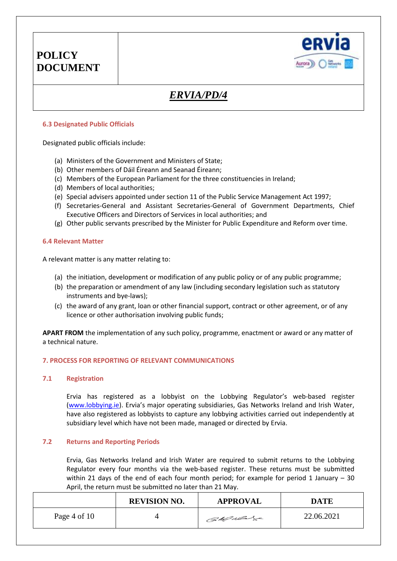

# *ERVIA/PD/4*

### **6.3 Designated Public Officials**

Designated public officials include:

- (a) Ministers of the Government and Ministers of State;
- (b) Other members of Dáil Éireann and Seanad Éireann;
- (c) Members of the European Parliament for the three constituencies in Ireland;
- (d) Members of local authorities;
- (e) Special advisers appointed under section 11 of the Public Service Management Act 1997;
- (f) Secretaries-General and Assistant Secretaries-General of Government Departments, Chief Executive Officers and Directors of Services in local authorities; and
- (g) Other public servants prescribed by the Minister for Public Expenditure and Reform over time.

### **6.4 Relevant Matter**

A relevant matter is any matter relating to:

- (a) the initiation, development or modification of any public policy or of any public programme;
- (b) the preparation or amendment of any law (including secondary legislation such as statutory instruments and bye-laws);
- (c) the award of any grant, loan or other financial support, contract or other agreement, or of any licence or other authorisation involving public funds;

**APART FROM** the implementation of any such policy, programme, enactment or award or any matter of a technical nature.

## **7. PROCESS FOR REPORTING OF RELEVANT COMMUNICATIONS**

### **7.1 Registration**

Ervia has registered as a lobbyist on the Lobbying Regulator's web-based register [\(www.lobbying.ie\)](http://www.lobbying.ie/). Ervia's major operating subsidiaries, Gas Networks Ireland and Irish Water, have also registered as lobbyists to capture any lobbying activities carried out independently at subsidiary level which have not been made, managed or directed by Ervia.

### **7.2 Returns and Reporting Periods**

Ervia, Gas Networks Ireland and Irish Water are required to submit returns to the Lobbying Regulator every four months via the web-based register. These returns must be submitted within 21 days of the end of each four month period; for example for period 1 January – 30 April, the return must be submitted no later than 21 May.

|                | <b>REVISION NO.</b> | <b>APPROVAL</b> | <b>DATE</b> |
|----------------|---------------------|-----------------|-------------|
| Page 4 of $10$ |                     | Callado         | 22.06.2021  |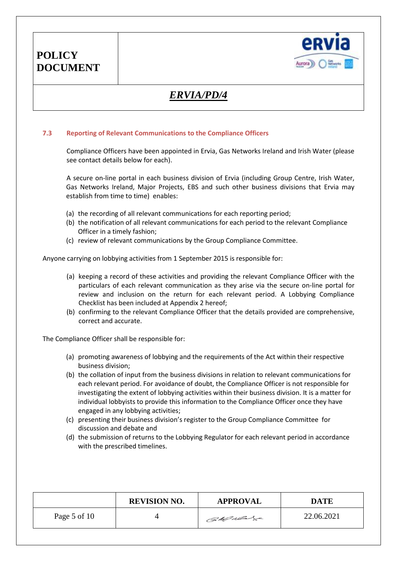

# *ERVIA/PD/4*

### **7.3 Reporting of Relevant Communications to the Compliance Officers**

**POLICY**

**DOCUMENT**

Compliance Officers have been appointed in Ervia, Gas Networks Ireland and Irish Water (please see contact details below for each).

A secure on-line portal in each business division of Ervia (including Group Centre, Irish Water, Gas Networks Ireland, Major Projects, EBS and such other business divisions that Ervia may establish from time to time) enables:

- (a) the recording of all relevant communications for each reporting period;
- (b) the notification of all relevant communications for each period to the relevant Compliance Officer in a timely fashion;
- (c) review of relevant communications by the Group Compliance Committee.

Anyone carrying on lobbying activities from 1 September 2015 is responsible for:

- (a) keeping a record of these activities and providing the relevant Compliance Officer with the particulars of each relevant communication as they arise via the secure on-line portal for review and inclusion on the return for each relevant period. A Lobbying Compliance Checklist has been included at Appendix 2 hereof;
- (b) confirming to the relevant Compliance Officer that the details provided are comprehensive, correct and accurate.

The Compliance Officer shall be responsible for:

- (a) promoting awareness of lobbying and the requirements of the Act within their respective business division;
- (b) the collation of input from the business divisions in relation to relevant communications for each relevant period. For avoidance of doubt, the Compliance Officer is not responsible for investigating the extent of lobbying activities within their business division. It is a matter for individual lobbyists to provide this information to the Compliance Officer once they have engaged in any lobbying activities;
- (c) presenting their business division's register to the Group Compliance Committee for discussion and debate and
- (d) the submission of returns to the Lobbying Regulator for each relevant period in accordance with the prescribed timelines.

|                | <b>REVISION NO.</b> | <b>APPROVAL</b> | <b>DATE</b> |
|----------------|---------------------|-----------------|-------------|
| Page 5 of $10$ |                     | CaMulage        | 22.06.2021  |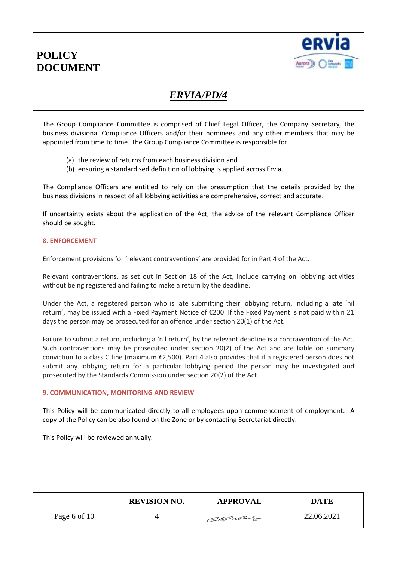

# *ERVIA/PD/4*

The Group Compliance Committee is comprised of Chief Legal Officer, the Company Secretary, the business divisional Compliance Officers and/or their nominees and any other members that may be appointed from time to time. The Group Compliance Committee is responsible for:

- (a) the review of returns from each business division and
- (b) ensuring a standardised definition of lobbying is applied across Ervia.

The Compliance Officers are entitled to rely on the presumption that the details provided by the business divisions in respect of all lobbying activities are comprehensive, correct and accurate.

If uncertainty exists about the application of the Act, the advice of the relevant Compliance Officer should be sought.

### **8. ENFORCEMENT**

Enforcement provisions for 'relevant contraventions' are provided for in Part 4 of the Act.

Relevant contraventions, as set out in Section 18 of the Act, include carrying on lobbying activities without being registered and failing to make a return by the deadline.

Under the Act, a registered person who is late submitting their lobbying return, including a late 'nil return', may be issued with a Fixed Payment Notice of €200. If the Fixed Payment is not paid within 21 days the person may be prosecuted for an offence under section 20(1) of the Act.

Failure to submit a return, including a 'nil return', by the relevant deadline is a contravention of the Act. Such contraventions may be prosecuted under section 20(2) of the Act and are liable on summary conviction to a class C fine (maximum €2,500). Part 4 also provides that if a registered person does not submit any lobbying return for a particular lobbying period the person may be investigated and prosecuted by the Standards Commission under section 20(2) of the Act.

### **9. COMMUNICATION, MONITORING AND REVIEW**

This Policy will be communicated directly to all employees upon commencement of employment. A copy of the Policy can be also found on the Zone or by contacting Secretariat directly.

This Policy will be reviewed annually.

|              | <b>REVISION NO.</b> | <b>APPROVAL</b> | <b>DATE</b> |
|--------------|---------------------|-----------------|-------------|
| Page 6 of 10 |                     | CaMulas         | 22.06.2021  |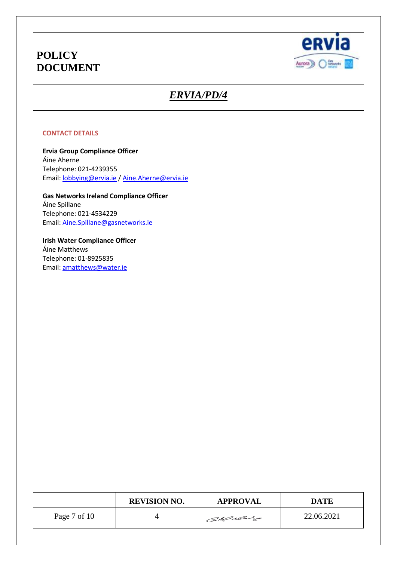

# *ERVIA/PD/4*

### **CONTACT DETAILS**

**Ervia Group Compliance Officer** Áine Aherne Telephone: 021-4239355 Email[: lobbying@ervia.ie](mailto:lobbying@ervia.ie) / [Aine.Aherne@ervia.ie](mailto:Aine.Aherne@ervia.ie)

**Gas Networks Ireland Compliance Officer** Áine Spillane Telephone: 021-4534229 Email[: Aine.Spillane@gasnetworks.ie](mailto:Aine.Spillane@gasnetworks.ie)

**Irish Water Compliance Officer** Áine Matthews Telephone: 01-8925835 Email[: amatthews@water.ie](mailto:amatthews@water.ie)

|              | <b>REVISION NO.</b> | <b>APPROVAL</b> | <b>DATE</b> |
|--------------|---------------------|-----------------|-------------|
| Page 7 of 10 |                     | Callado         | 22.06.2021  |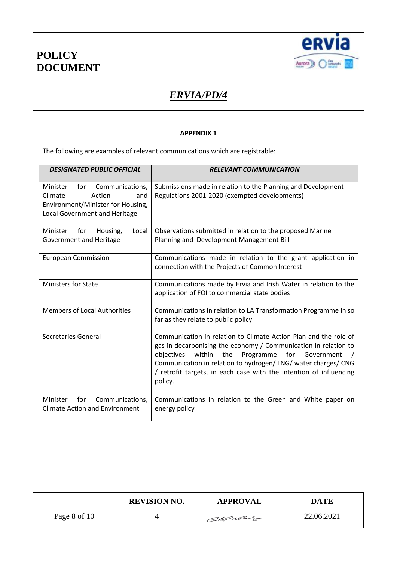

# *ERVIA/PD/4*

## **APPENDIX 1**

The following are examples of relevant communications which are registrable:

| <b>DESIGNATED PUBLIC OFFICIAL</b>                                                                                                    | <b>RELEVANT COMMUNICATION</b>                                                                                                                                                                                                                                                                                                                      |
|--------------------------------------------------------------------------------------------------------------------------------------|----------------------------------------------------------------------------------------------------------------------------------------------------------------------------------------------------------------------------------------------------------------------------------------------------------------------------------------------------|
| Communications,<br>Minister<br>for<br>Climate<br>Action<br>and<br>Environment/Minister for Housing,<br>Local Government and Heritage | Submissions made in relation to the Planning and Development<br>Regulations 2001-2020 (exempted developments)                                                                                                                                                                                                                                      |
| Minister<br>for<br>Housing,<br>Local<br>Government and Heritage                                                                      | Observations submitted in relation to the proposed Marine<br>Planning and Development Management Bill                                                                                                                                                                                                                                              |
| <b>European Commission</b>                                                                                                           | Communications made in relation to the grant application in<br>connection with the Projects of Common Interest                                                                                                                                                                                                                                     |
| <b>Ministers for State</b>                                                                                                           | Communications made by Ervia and Irish Water in relation to the<br>application of FOI to commercial state bodies                                                                                                                                                                                                                                   |
| <b>Members of Local Authorities</b>                                                                                                  | Communications in relation to LA Transformation Programme in so<br>far as they relate to public policy                                                                                                                                                                                                                                             |
| Secretaries General                                                                                                                  | Communication in relation to Climate Action Plan and the role of<br>gas in decarbonising the economy / Communication in relation to<br>within<br>the<br>Programme<br>for Government<br>objectives<br>Communication in relation to hydrogen/LNG/ water charges/CNG<br>/ retrofit targets, in each case with the intention of influencing<br>policy. |
| for<br>Communications,<br>Minister<br><b>Climate Action and Environment</b>                                                          | Communications in relation to the Green and White paper on<br>energy policy                                                                                                                                                                                                                                                                        |

|              | <b>REVISION NO.</b> | <b>APPROVAL</b> | <b>DATE</b> |
|--------------|---------------------|-----------------|-------------|
| Page 8 of 10 |                     | CaMulage        | 22.06.2021  |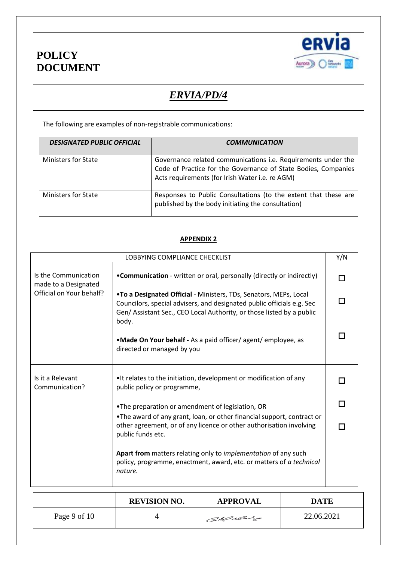



# *ERVIA/PD/4*

The following are examples of non-registrable communications:

| <b>DESIGNATED PUBLIC OFFICIAL</b> | <b>COMMUNICATION</b>                                                                                                                                                                      |
|-----------------------------------|-------------------------------------------------------------------------------------------------------------------------------------------------------------------------------------------|
| <b>Ministers for State</b>        | Governance related communications <i>i.e.</i> Requirements under the<br>Code of Practice for the Governance of State Bodies, Companies<br>Acts requirements (for Irish Water i.e. re AGM) |
| <b>Ministers for State</b>        | Responses to Public Consultations (to the extent that these are<br>published by the body initiating the consultation)                                                                     |

## **APPENDIX 2**

|                                              | LOBBYING COMPLIANCE CHECKLIST                                                                                                                                                                                                 | Y/N |
|----------------------------------------------|-------------------------------------------------------------------------------------------------------------------------------------------------------------------------------------------------------------------------------|-----|
| Is the Communication<br>made to a Designated | • Communication - written or oral, personally (directly or indirectly)                                                                                                                                                        |     |
| Official on Your behalf?                     | .To a Designated Official - Ministers, TDs, Senators, MEPs, Local<br>Councilors, special advisers, and designated public officials e.g. Sec<br>Gen/ Assistant Sec., CEO Local Authority, or those listed by a public<br>body. |     |
|                                              | .Made On Your behalf - As a paid officer/ agent/ employee, as<br>directed or managed by you                                                                                                                                   |     |
| Is it a Relevant<br>Communication?           | •It relates to the initiation, development or modification of any<br>public policy or programme,                                                                                                                              |     |
|                                              | . The preparation or amendment of legislation, OR                                                                                                                                                                             |     |
|                                              | •The award of any grant, loan, or other financial support, contract or<br>other agreement, or of any licence or other authorisation involving<br>public funds etc.                                                            |     |
|                                              | Apart from matters relating only to <i>implementation</i> of any such<br>policy, programme, enactment, award, etc. or matters of a technical<br>nature.                                                                       |     |

|              | <b>REVISION NO.</b> | <b>APPROVAL</b> | <b>DATE</b> |
|--------------|---------------------|-----------------|-------------|
| Page 9 of 10 |                     | CaMulas         | 22.06.2021  |